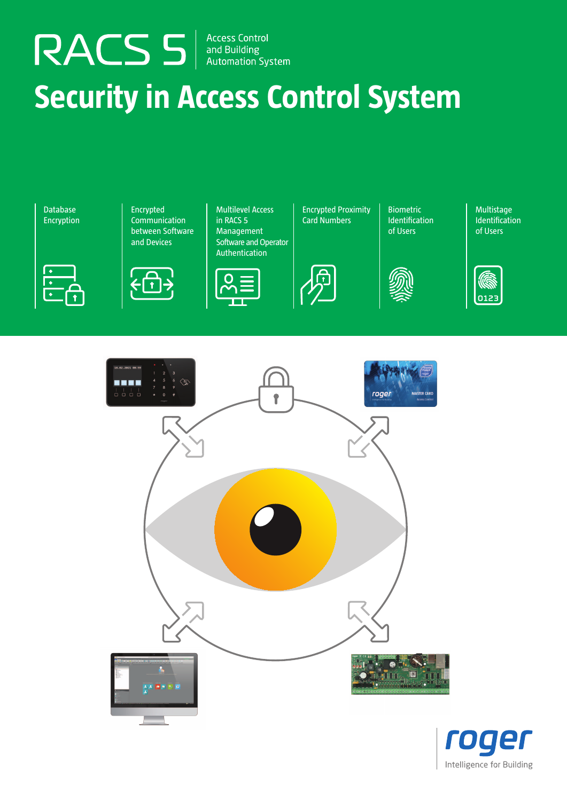RACS 5 Access Control

# **Security in Access Control System**



Communication between Software and Devices

Encrypted



Multilevel Access in RACS 5 Management Software and Operator **Authentication** 



Encrypted Proximity Card Numbers

Biometric Identification of Users



Multistage Identification of Users